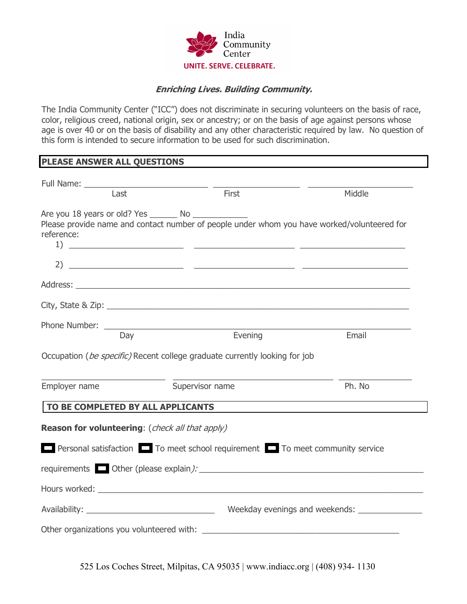

## **Enriching Lives. Building Community.**

The India Community Center ("ICC") does not discriminate in securing volunteers on the basis of race, color, religious creed, national origin, sex or ancestry; or on the basis of age against persons whose age is over 40 or on the basis of disability and any other characteristic required by law. No question of this form is intended to secure information to be used for such discrimination.

## **PLEASE ANSWER ALL QUESTIONS**

|                                                                                     | Last | First                           | Middle                                                                                                                                                                                                                                                                                                                                                                                                                                                                   |  |  |  |  |
|-------------------------------------------------------------------------------------|------|---------------------------------|--------------------------------------------------------------------------------------------------------------------------------------------------------------------------------------------------------------------------------------------------------------------------------------------------------------------------------------------------------------------------------------------------------------------------------------------------------------------------|--|--|--|--|
| reference:                                                                          |      | Are you 18 years or old? Yes No | Please provide name and contact number of people under whom you have worked/volunteered for                                                                                                                                                                                                                                                                                                                                                                              |  |  |  |  |
|                                                                                     |      |                                 | 2) $\overline{\phantom{a}}$ $\overline{\phantom{a}}$ $\overline{\phantom{a}}$ $\overline{\phantom{a}}$ $\overline{\phantom{a}}$ $\overline{\phantom{a}}$ $\overline{\phantom{a}}$ $\overline{\phantom{a}}$ $\overline{\phantom{a}}$ $\overline{\phantom{a}}$ $\overline{\phantom{a}}$ $\overline{\phantom{a}}$ $\overline{\phantom{a}}$ $\overline{\phantom{a}}$ $\overline{\phantom{a}}$ $\overline{\phantom{a}}$ $\overline{\phantom{a}}$ $\overline{\phantom{a}}$ $\$ |  |  |  |  |
|                                                                                     |      |                                 |                                                                                                                                                                                                                                                                                                                                                                                                                                                                          |  |  |  |  |
|                                                                                     |      |                                 |                                                                                                                                                                                                                                                                                                                                                                                                                                                                          |  |  |  |  |
|                                                                                     |      |                                 |                                                                                                                                                                                                                                                                                                                                                                                                                                                                          |  |  |  |  |
|                                                                                     | Day  | Evening                         | Email                                                                                                                                                                                                                                                                                                                                                                                                                                                                    |  |  |  |  |
| Occupation ( <i>be specific</i> ) Recent college graduate currently looking for job |      |                                 |                                                                                                                                                                                                                                                                                                                                                                                                                                                                          |  |  |  |  |
| Employer name                                                                       |      | Supervisor name                 | Ph. No                                                                                                                                                                                                                                                                                                                                                                                                                                                                   |  |  |  |  |
| TO BE COMPLETED BY ALL APPLICANTS                                                   |      |                                 |                                                                                                                                                                                                                                                                                                                                                                                                                                                                          |  |  |  |  |
| Reason for volunteering: (check all that apply)                                     |      |                                 |                                                                                                                                                                                                                                                                                                                                                                                                                                                                          |  |  |  |  |
| Personal satisfaction To meet school requirement To meet community service          |      |                                 |                                                                                                                                                                                                                                                                                                                                                                                                                                                                          |  |  |  |  |
|                                                                                     |      |                                 |                                                                                                                                                                                                                                                                                                                                                                                                                                                                          |  |  |  |  |
|                                                                                     |      |                                 |                                                                                                                                                                                                                                                                                                                                                                                                                                                                          |  |  |  |  |
|                                                                                     |      |                                 |                                                                                                                                                                                                                                                                                                                                                                                                                                                                          |  |  |  |  |
|                                                                                     |      |                                 |                                                                                                                                                                                                                                                                                                                                                                                                                                                                          |  |  |  |  |

525 Los Coches Street, Milpitas, CA 95035 | www.indiacc.org | (408) 934- 1130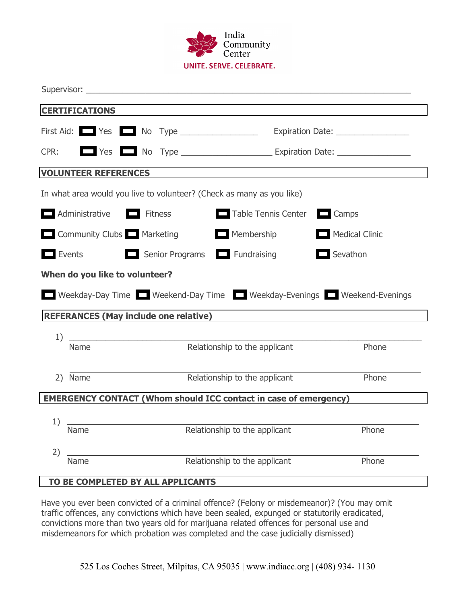

| <b>CERTIFICATIONS</b>                                                                                              |                                      |                                                         |                                                                       |                |  |  |
|--------------------------------------------------------------------------------------------------------------------|--------------------------------------|---------------------------------------------------------|-----------------------------------------------------------------------|----------------|--|--|
|                                                                                                                    |                                      |                                                         | First Aid: Yes No Type _______________ Expiration Date: ___________   |                |  |  |
| CPR:                                                                                                               |                                      |                                                         |                                                                       |                |  |  |
|                                                                                                                    | <b>VOLUNTEER REFERENCES</b>          |                                                         |                                                                       |                |  |  |
|                                                                                                                    |                                      |                                                         | In what area would you live to volunteer? (Check as many as you like) |                |  |  |
|                                                                                                                    | $\Box$ Administrative $\Box$ Fitness |                                                         | $\Box$ Camps<br>Table Tennis Center                                   |                |  |  |
| Community Clubs Marketing                                                                                          |                                      |                                                         | $\Box$ Membership                                                     | Medical Clinic |  |  |
| $\blacksquare$ Events                                                                                              |                                      |                                                         | Senior Programs <b>Fundraising</b><br>$\Box$ Sevathon                 |                |  |  |
| When do you like to volunteer?                                                                                     |                                      |                                                         |                                                                       |                |  |  |
| Weekday-Day Time Weekend-Day Time Weekday-Evenings Weekend-Evenings                                                |                                      |                                                         |                                                                       |                |  |  |
| REFERANCES (May include one relative) Name of the Second Seconds and Seconds and Seconds and Seconds and Seconds A |                                      |                                                         |                                                                       |                |  |  |
| 1)                                                                                                                 |                                      | <u> 1989 - Johann Barbara, martin amerikan basar da</u> |                                                                       |                |  |  |
| Name                                                                                                               |                                      |                                                         | Relationship to the applicant                                         | Phone          |  |  |
| 2) Name                                                                                                            |                                      |                                                         | Relationship to the applicant<br>Phone                                |                |  |  |
| <b>EMERGENCY CONTACT (Whom should ICC contact in case of emergency)</b>                                            |                                      |                                                         |                                                                       |                |  |  |
|                                                                                                                    |                                      |                                                         |                                                                       |                |  |  |
| 1)<br>Name                                                                                                         |                                      |                                                         | Relationship to the applicant Phone                                   |                |  |  |
| 2)                                                                                                                 |                                      |                                                         |                                                                       |                |  |  |
| Name                                                                                                               |                                      |                                                         | Relationship to the applicant                                         | Phone          |  |  |
| TO BE COMPLETED BY ALL APPLICANTS                                                                                  |                                      |                                                         |                                                                       |                |  |  |

Have you ever been convicted of a criminal offence? (Felony or misdemeanor)? (You may omit traffic offences, any convictions which have been sealed, expunged or statutorily eradicated, convictions more than two years old for marijuana related offences for personal use and misdemeanors for which probation was completed and the case judicially dismissed)